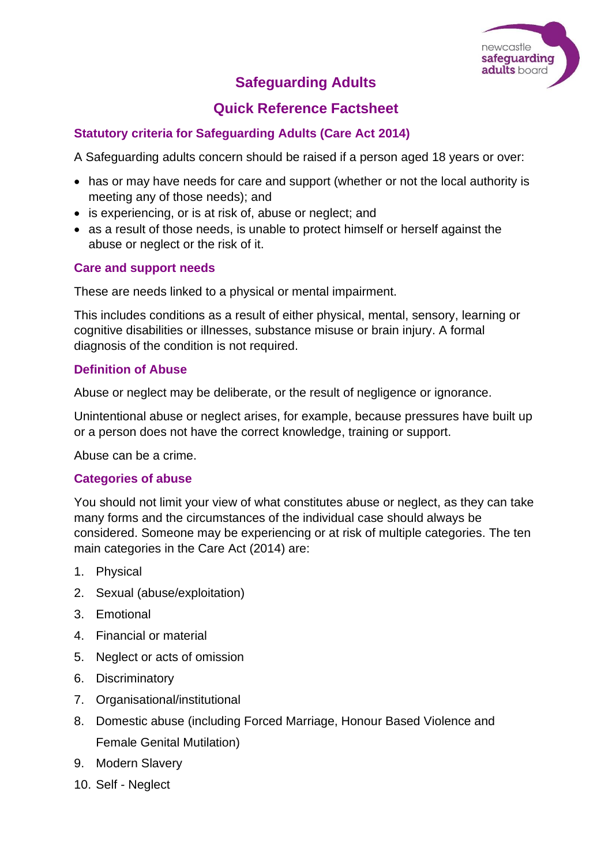

# **Safeguarding Adults**

## **Quick Reference Factsheet**

## **Statutory criteria for Safeguarding Adults (Care Act 2014)**

A Safeguarding adults concern should be raised if a person aged 18 years or over:

- has or may have needs for care and support (whether or not the local authority is meeting any of those needs); and
- is experiencing, or is at risk of, abuse or neglect; and
- as a result of those needs, is unable to protect himself or herself against the abuse or neglect or the risk of it.

#### **Care and support needs**

These are needs linked to a physical or mental impairment.

This includes conditions as a result of either physical, mental, sensory, learning or cognitive disabilities or illnesses, substance misuse or brain injury. A formal diagnosis of the condition is not required.

#### **Definition of Abuse**

Abuse or neglect may be deliberate, or the result of negligence or ignorance.

Unintentional abuse or neglect arises, for example, because pressures have built up or a person does not have the correct knowledge, training or support.

Abuse can be a crime.

#### **Categories of abuse**

You should not limit your view of what constitutes abuse or neglect, as they can take many forms and the circumstances of the individual case should always be considered. Someone may be experiencing or at risk of multiple categories. The ten main categories in the Care Act (2014) are:

- 1. Physical
- 2. Sexual (abuse/exploitation)
- 3. Emotional
- 4. Financial or material
- 5. Neglect or acts of omission
- 6. Discriminatory
- 7. Organisational/institutional
- 8. Domestic abuse (including Forced Marriage, Honour Based Violence and Female Genital Mutilation)
- 9. Modern Slavery
- 10. Self Neglect